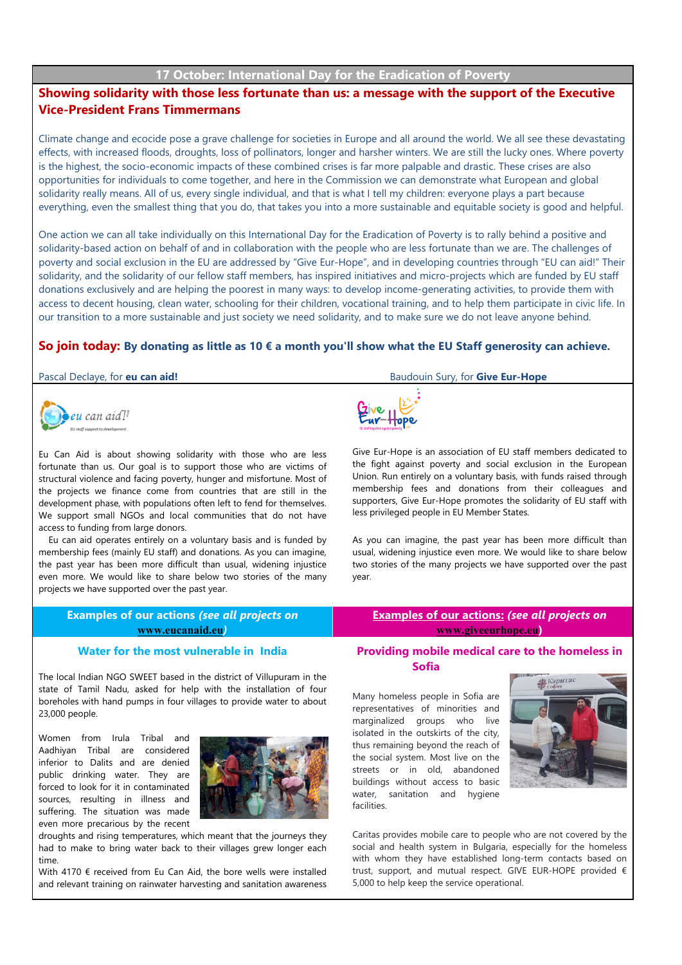## **17 October: International Day for the Eradication of Poverty**

# **Showing solidarity with those less fortunate than us: a message with the support of the Executive Vice-President Frans Timmermans**

Climate change and ecocide pose a grave challenge for societies in Europe and all around the world. We all see these devastating effects, with increased floods, droughts, loss of pollinators, longer and harsher winters. We are still the lucky ones. Where poverty is the highest, the socio-economic impacts of these combined crises is far more palpable and drastic. These crises are also opportunities for individuals to come together, and here in the Commission we can demonstrate what European and global solidarity really means. All of us, every single individual, and that is what I tell my children: everyone plays a part because everything, even the smallest thing that you do, that takes you into a more sustainable and equitable society is good and helpful.

One action we can all take individually on this International Day for the Eradication of Poverty is to rally behind a positive and solidarity-based action on behalf of and in collaboration with the people who are less fortunate than we are. The challenges of poverty and social exclusion in the EU are addressed by "Give Eur-Hope", and in developing countries through "EU can aid!" Their solidarity, and the solidarity of our fellow staff members, has inspired initiatives and micro-projects which are funded by EU staff donations exclusively and are helping the poorest in many ways: to develop income-generating activities, to provide them with access to decent housing, clean water, schooling for their children, vocational training, and to help them participate in civic life. In our transition to a more sustainable and just society we need solidarity, and to make sure we do not leave anyone behind.

### **So join today: By donating as little as 10 € a month you'll show what the EU Staff generosity can achieve.**



23,000 people.

time.

Women from Irula Tribal and Aadhiyan Tribal are considered inferior to Dalits and are denied public drinking water. They are forced to look for it in contaminated sources, resulting in illness and suffering. The situation was made even more precarious by the recent

Eu Can Aid is about showing solidarity with those who are less fortunate than us. Our goal is to support those who are victims of structural violence and facing poverty, hunger and misfortune. Most of the projects we finance come from countries that are still in the development phase, with populations often left to fend for themselves. We support small NGOs and local communities that do not have access to funding from large donors.

Eu can aid operates entirely on a voluntary basis and is funded by membership fees (mainly EU staff) and donations. As you can imagine, the past year has been more difficult than usual, widening injustice even more. We would like to share below two stories of the many projects we have supported over the past year.

droughts and rising temperatures, which meant that the journeys they had to make to bring water back to their villages grew longer each

With 4170 € received from Eu Can Aid, the bore wells were installed and relevant training on rainwater harvesting and sanitation awareness

Pascal Declaye, for **eu can aid!** Baudouin Sury, for **Give Eur-Hope**



Give Eur-Hope is an association of EU staff members dedicated to the fight against poverty and social exclusion in the European Union. Run entirely on a voluntary basis, with funds raised through membership fees and donations from their colleagues and supporters, Give Eur-Hope promotes the solidarity of EU staff with less privileged people in EU Member States.

As you can imagine, the past year has been more difficult than usual, widening injustice even more. We would like to share below two stories of the many projects we have supported over the past year.

| <b>Examples of our actions (see all projects on</b><br>www.eucanaid.eu  | <b>Examples of our actions: (see all projects on</b><br>www.giveeurhope.eu) |
|-------------------------------------------------------------------------|-----------------------------------------------------------------------------|
| Water for the most vulnerable in India                                  | Providing mobile medical care to the homeless in                            |
| The local Indian NGO SWEET based in the district of Villupuram in the : | <b>Sofia</b>                                                                |

state of Tamil Nadu, asked for help with the installation of four boreholes with hand pumps in four villages to provide water to about Many homeless people in Sofia are representatives of minorities and marginalized groups who live isolated in the outskirts of the city, thus remaining beyond the reach of the social system. Most live on the streets or in old, abandoned buildings without access to basic water, sanitation and hygiene

facilities.



Caritas provides mobile care to people who are not covered by the social and health system in Bulgaria, especially for the homeless with whom they have established long-term contacts based on trust, support, and mutual respect. GIVE EUR-HOPE provided € 5,000 to help keep the service operational.